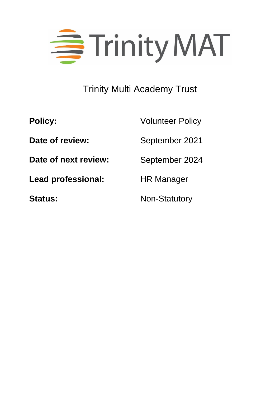

# Trinity Multi Academy Trust

| <b>Policy:</b>            | <b>Volunteer Policy</b> |  |
|---------------------------|-------------------------|--|
| Date of review:           | September 2021          |  |
| Date of next review:      | September 2024          |  |
| <b>Lead professional:</b> | <b>HR Manager</b>       |  |
| <b>Status:</b>            | <b>Non-Statutory</b>    |  |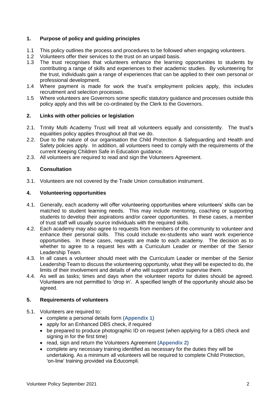# **1. Purpose of policy and guiding principles**

- 1.1 This policy outlines the process and procedures to be followed when engaging volunteers.
- 1.2 Volunteers offer their services to the trust on an unpaid basis.
- 1.3 The trust recognises that volunteers enhance the learning opportunities to students by contributing a range of skills and experiences to their academic studies. By volunteering for the trust, individuals gain a range of experiences that can be applied to their own personal or professional development.
- 1.4 Where payment is made for work the trust's employment policies apply, this includes recruitment and selection processes.
- 1.5 Where volunteers are Governors some specific statutory guidance and processes outside this policy apply and this will be co-ordinated by the Clerk to the Governors.

#### **2. Links with other policies or legislation**

- 2.1. Trinity Multi Academy Trust will treat all volunteers equally and consistently. The trust's equalities policy applies throughout all that we do.
- 2.2. Due to the nature of our organisation the Child Protection & Safeguarding and Health and Safety policies apply. In addition, all volunteers need to comply with the requirements of the current Keeping Children Safe in Education guidance.
- 2.3. All volunteers are required to read and sign the Volunteers Agreement.

### **3. Consultation**

3.1. Volunteers are not covered by the Trade Union consultation instrument.

#### **4. Volunteering opportunities**

- 4.1. Generally, each academy will offer volunteering opportunities where volunteers' skills can be matched to student learning needs. This may include mentoring, coaching or supporting students to develop their aspirations and/or career opportunities. In these cases, a member of trust staff will usually source individuals with the required skills.
- 4.2. Each academy may also agree to requests from members of the community to volunteer and enhance their personal skills. This could include ex-students who want work experience opportunities. In these cases, requests are made to each academy. The decision as to whether to agree to a request lies with a Curriculum Leader or member of the Senior Leadership Team.
- 4.3. In all cases a volunteer should meet with the Curriculum Leader or member of the Senior Leadership Team to discuss the volunteering opportunity, what they will be expected to do, the limits of their involvement and details of who will support and/or supervise them.
- 4.4. As well as tasks; times and days when the volunteer reports for duties should be agreed. Volunteers are not permitted to 'drop in'. A specified length of the opportunity should also be agreed.

#### **5. Requirements of volunteers**

- 5.1. Volunteers are required to:
	- complete a personal details form **(Appendix 1)**
	- apply for an Enhanced DBS check, if required
	- be prepared to produce photographic ID on request (when applying for a DBS check and signing in for the first time)
	- read, sign and return the Volunteers Agreement **(Appendix 2)**
	- complete any necessary training identified as necessary for the duties they will be undertaking. As a minimum all volunteers will be required to complete Child Protection, 'on-line' training provided via Educompli.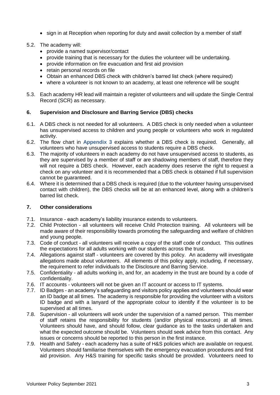- sign in at Reception when reporting for duty and await collection by a member of staff
- 5.2. The academy will:
	- provide a named supervisor/contact
	- provide training that is necessary for the duties the volunteer will be undertaking.
	- provide information on fire evacuation and first aid provision
	- retain personal records on file
	- Obtain an enhanced DBS check with children's barred list check (where required)
	- where a volunteer is not known to an academy, at least one reference will be sought
- 5.3. Each academy HR lead will maintain a register of volunteers and will update the Single Central Record (SCR) as necessary.

#### **6. Supervision and Disclosure and Barring Service (DBS) checks**

- 6.1. A DBS check is not needed for all volunteers. A DBS check is only needed when a volunteer has unsupervised access to children and young people or volunteers who work in regulated activity.
- 6.2. The flow chart in **Appendix 3** explains whether a DBS check is required. Generally, all volunteers who have unsupervised access to students require a DBS check.
- 6.3. The majority of volunteers in each academy do not have unsupervised access to students, as they are supervised by a member of staff or are shadowing members of staff, therefore they will not require a DBS check. However, each academy does reserve the right to request a check on any volunteer and it is recommended that a DBS check is obtained if full supervision cannot be guaranteed.
- 6.4. Where it is determined that a DBS check is required (due to the volunteer having unsupervised contact with children), the DBS checks will be at an enhanced level, along with a children's barred list check.

#### **7. Other considerations**

- 7.1. Insurance each academy's liability insurance extends to volunteers.
- 7.2. Child Protection all volunteers will receive Child Protection training. All volunteers will be made aware of their responsibility towards promoting the safeguarding and welfare of children and young people.
- 7.3. Code of conduct all volunteers will receive a copy of the staff code of conduct. This outlines the expectations for all adults working with our students across the trust.
- 7.4. Allegations against staff volunteers are covered by this policy. An academy will investigate allegations made about volunteers. All elements of this policy apply, including, if necessary, the requirement to refer individuals to the Disclosure and Barring Service.
- 7.5. Confidentiality all adults working in, and for, an academy in the trust are bound by a code of confidentiality.
- 7.6. IT accounts volunteers will not be given an IT account or access to IT systems.
- 7.7. ID Badges an academy's safeguarding and visitors policy applies and volunteers should wear an ID badge at all times. The academy is responsible for providing the volunteer with a visitors ID badge and with a lanyard of the appropriate colour to identify if the volunteer is to be supervised at all times.
- 7.8. Supervision all volunteers will work under the supervision of a named person. This member of staff retains the responsibility for students (and/or physical resources) at all times. Volunteers should have, and should follow, clear guidance as to the tasks undertaken and what the expected outcome should be. Volunteers should seek advice from this contact. Any issues or concerns should be reported to this person in the first instance.
- 7.9. Health and Safety each academy has a suite of H&S policies which are available on request. Volunteers should familiarise themselves with the emergency evacuation procedures and first aid provision. Any H&S training for specific tasks should be provided. Volunteers need to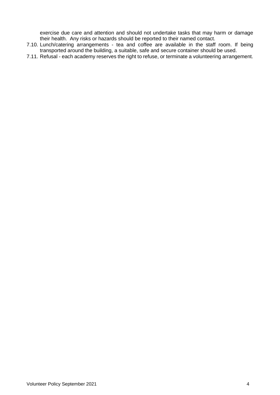exercise due care and attention and should not undertake tasks that may harm or damage their health. Any risks or hazards should be reported to their named contact.

- 7.10. Lunch/catering arrangements tea and coffee are available in the staff room. If being transported around the building, a suitable, safe and secure container should be used.
- 7.11. Refusal each academy reserves the right to refuse, or terminate a volunteering arrangement.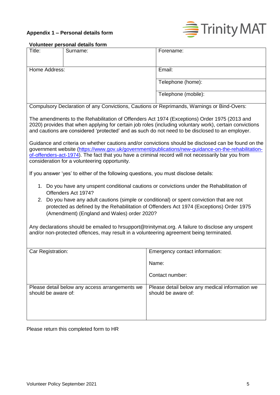# **Appendix 1 – Personal details form**



# **Volunteer personal details form**

| Title:                                                                                                                                                                                                                                                                                                                                                            | Surname:                                       | Forename:                                                             |  |
|-------------------------------------------------------------------------------------------------------------------------------------------------------------------------------------------------------------------------------------------------------------------------------------------------------------------------------------------------------------------|------------------------------------------------|-----------------------------------------------------------------------|--|
|                                                                                                                                                                                                                                                                                                                                                                   |                                                |                                                                       |  |
| Home Address:                                                                                                                                                                                                                                                                                                                                                     |                                                | Email:                                                                |  |
|                                                                                                                                                                                                                                                                                                                                                                   |                                                | Telephone (home):                                                     |  |
|                                                                                                                                                                                                                                                                                                                                                                   |                                                | Telephone (mobile):                                                   |  |
| Compulsory Declaration of any Convictions, Cautions or Reprimands, Warnings or Bind-Overs:                                                                                                                                                                                                                                                                        |                                                |                                                                       |  |
| The amendments to the Rehabilitation of Offenders Act 1974 (Exceptions) Order 1975 (2013 and<br>2020) provides that when applying for certain job roles (including voluntary work), certain convictions<br>and cautions are considered 'protected' and as such do not need to be disclosed to an employer.                                                        |                                                |                                                                       |  |
| Guidance and criteria on whether cautions and/or convictions should be disclosed can be found on the<br>government website (https://www.gov.uk/government/publications/new-guidance-on-the-rehabilitation-<br>of-offenders-act-1974). The fact that you have a criminal record will not necessarily bar you from<br>consideration for a volunteering opportunity. |                                                |                                                                       |  |
| If you answer 'yes' to either of the following questions, you must disclose details:                                                                                                                                                                                                                                                                              |                                                |                                                                       |  |
| 1. Do you have any unspent conditional cautions or convictions under the Rehabilitation of<br>Offenders Act 1974?                                                                                                                                                                                                                                                 |                                                |                                                                       |  |
| 2. Do you have any adult cautions (simple or conditional) or spent conviction that are not<br>protected as defined by the Rehabilitation of Offenders Act 1974 (Exceptions) Order 1975<br>(Amendment) (England and Wales) order 2020?                                                                                                                             |                                                |                                                                       |  |
| Any declarations should be emailed to hrsupport@trinitymat.org. A failure to disclose any unspent<br>and/or non-protected offences, may result in a volunteering agreement being terminated.                                                                                                                                                                      |                                                |                                                                       |  |
|                                                                                                                                                                                                                                                                                                                                                                   |                                                |                                                                       |  |
| Car Registration:                                                                                                                                                                                                                                                                                                                                                 |                                                | Emergency contact information:                                        |  |
|                                                                                                                                                                                                                                                                                                                                                                   |                                                | Name:                                                                 |  |
|                                                                                                                                                                                                                                                                                                                                                                   |                                                | Contact number:                                                       |  |
| should be aware of:                                                                                                                                                                                                                                                                                                                                               | Please detail below any access arrangements we | Please detail below any medical information we<br>should be aware of: |  |
|                                                                                                                                                                                                                                                                                                                                                                   |                                                |                                                                       |  |
|                                                                                                                                                                                                                                                                                                                                                                   |                                                |                                                                       |  |

Please return this completed form to HR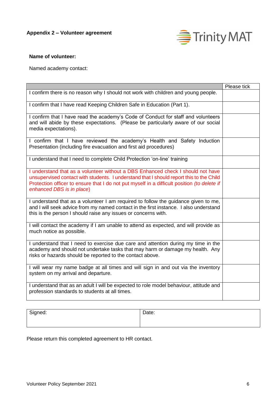

#### **Name of volunteer:**

Named academy contact:

|                                                                                                                                                                                                                                                                                                        | Please tick |
|--------------------------------------------------------------------------------------------------------------------------------------------------------------------------------------------------------------------------------------------------------------------------------------------------------|-------------|
| I confirm there is no reason why I should not work with children and young people.                                                                                                                                                                                                                     |             |
| I confirm that I have read Keeping Children Safe in Education (Part 1).                                                                                                                                                                                                                                |             |
| I confirm that I have read the academy's Code of Conduct for staff and volunteers<br>and will abide by these expectations. (Please be particularly aware of our social<br>media expectations).                                                                                                         |             |
| I confirm that I have reviewed the academy's Health and Safety Induction<br>Presentation (including fire evacuation and first aid procedures)                                                                                                                                                          |             |
| I understand that I need to complete Child Protection 'on-line' training                                                                                                                                                                                                                               |             |
| I understand that as a volunteer without a DBS Enhanced check I should not have<br>unsupervised contact with students. I understand that I should report this to the Child<br>Protection officer to ensure that I do not put myself in a difficult position (to delete if<br>enhanced DBS is in place) |             |
| I understand that as a volunteer I am required to follow the guidance given to me,<br>and I will seek advice from my named contact in the first instance. I also understand<br>this is the person I should raise any issues or concerns with.                                                          |             |
| I will contact the academy if I am unable to attend as expected, and will provide as<br>much notice as possible.                                                                                                                                                                                       |             |
| I understand that I need to exercise due care and attention during my time in the<br>academy and should not undertake tasks that may harm or damage my health. Any<br>risks or hazards should be reported to the contact above.                                                                        |             |
| I will wear my name badge at all times and will sign in and out via the inventory<br>system on my arrival and departure.                                                                                                                                                                               |             |
| I understand that as an adult I will be expected to role model behaviour, attitude and<br>profession standards to students at all times.                                                                                                                                                               |             |

| Signed: | Date: |
|---------|-------|
|---------|-------|

Please return this completed agreement to HR contact.